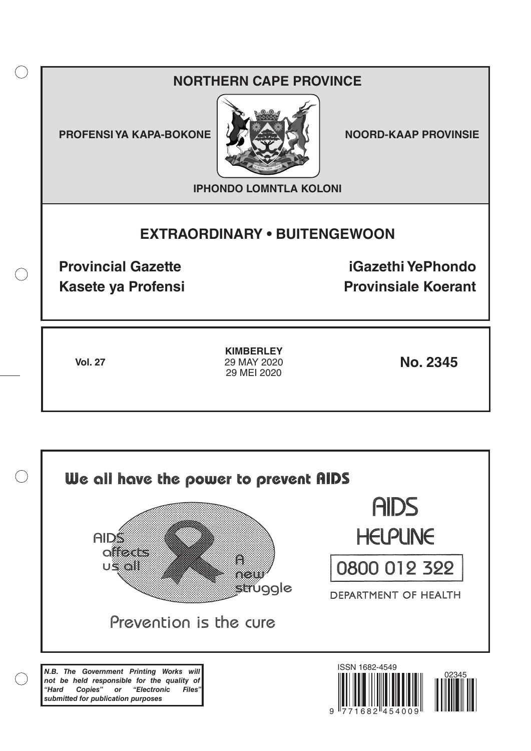## **NORTHERN CAPE PROVINCE**

**PROFENSI YA KAPA-BOKONE NOORD-KAAP PROVINSIE** 

 $($ )



**IPHONDO LOMNTLA KOLONI**

# **EXTRAORDINARY • BUITENGEWOON**

**Provincial Gazette iGazethi YePhondo Kasete ya Profensi Provinsiale Koerant** 

**Vol. 27 No. 2345 KIMBERLEY** 29 MAY 2020 29 MEI 2020

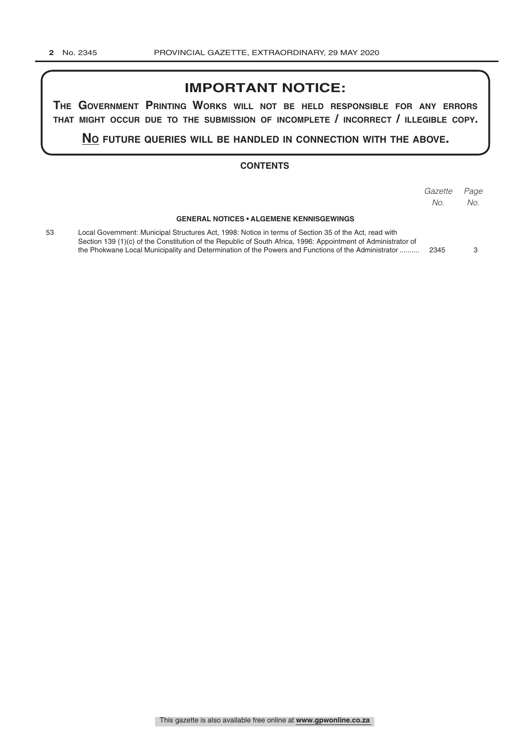### **IMPORTANT NOTICE:**

**The GovernmenT PrinTinG Works Will noT be held resPonsible for any errors ThaT miGhT occur due To The submission of incomPleTe / incorrecT / illeGible coPy.**

**no fuTure queries Will be handled in connecTion WiTh The above.**

#### **CONTENTS**

|    |                                                                                                                                                                                                                                                                                                                              | Gazette<br>No. | Page<br>No. |
|----|------------------------------------------------------------------------------------------------------------------------------------------------------------------------------------------------------------------------------------------------------------------------------------------------------------------------------|----------------|-------------|
|    | <b>GENERAL NOTICES • ALGEMENE KENNISGEWINGS</b>                                                                                                                                                                                                                                                                              |                |             |
| 53 | Local Government: Municipal Structures Act, 1998: Notice in terms of Section 35 of the Act, read with<br>Section 139 (1)(c) of the Constitution of the Republic of South Africa, 1996: Appointment of Administrator of<br>the Phokwane Local Municipality and Determination of the Powers and Functions of the Administrator | 2345           |             |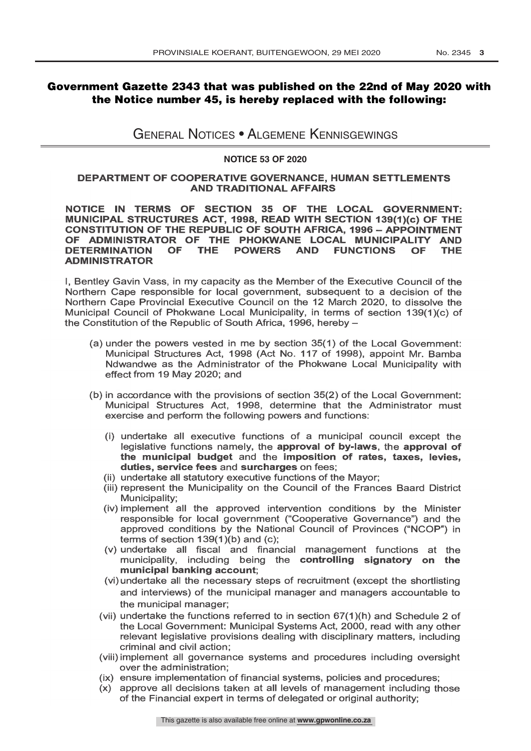### Government Gazette 2343 that was published on the 22nd of May 2020 with the Notice number 45, is hereby replaced with the following:

General Notices • Algemene Kennisgewings

#### **NOTICE 53 OF 2020**

#### DEPARTMENT OF COOPERATIVE GOVERNANCE, HUMAN SETTLEMENTS AND TRADITIONAL AFFAIRS

NOTICE IN TERMS OF SECTION 35 OF THE LOCAL GOVERNMENT: MUNICIPAL STRUCTURES ACT, 1998, READ WITH SECTION 139(1)(c) OF THE CONSTITUTION OF THE REPUBLIC OF SOUTH AFRICA, 1996 - APPOINTMENT OF ADMINISTRATOR OF THE PHOKWANE LOCAL MUNICIPALITY AND<br>DETERMINATION OF THE POWERS AND FUNCTIONS OF THE DETERMINATION OF THE POWERS AND FUNCTIONS OF THE ADMINISTRATOR

I, Bentley Gavin Vass, in my capacity as the Member of the Executive Council of the Northern Cape responsible for local government, subsequent to a decision of the Northern Cape Provincial Executive Council on the 12 March Municipal Council of Phokwane Local Municipality, in terms of section 139(1)(c) of the Constitution of the Republic of South Africa, 1996, hereby -

- (a) under the powers vested in me by section 35(1) of the Local Government: Municipal Structures Act, 1998 (Act No. 117 of 1998), appoint Mr. Bamba Ndwandwe as the Administrator of the Phokwane Local Municipality with effect from 19 May 2020; and
- (b) in accordance with the provisions of section 35(2) of the Local Government: Municipal Structures Act, 1998, determine that the Administrator must exercise and perform the following powers and functions:
	- (i) undertake all executive functions of a municipal council except the legislative functions namely, the approval of by-laws, the approval of the municipal budget and the imposition of rates, taxes, levies, duties, service fees and surcharges on fees;
	-
	- (ii) undertake all statutory executive functions of the Mayor; (iii) represent the Municipality on the Council of the Frances Baard District Municipality;
	- (iv) implement all the approved intervention conditions by the Minister responsible for local government ("Cooperative Governance") and the approved conditions by the National Council of Provinces ("NCOP") in terms of section 139(1)(b) and (c);
	- (v) undertake all fiscal and financial management functions at the municipality, including being the controlling signatory on the municipal banking account;
	- (vi) undertake all the necessary steps of recruitment (except the shortlisting and interviews) of the municipal manager and managers accountable to the municipal manager;
	- (vii) undertake the functions referred to in section 67(1)(h) and Schedule 2 of the Local Government: Municipal Systems Act, 2000, read with any other relevant legislative provisions dealing with disciplinary matters, including criminal and civil action;
	- (viii) implement all governance systems and procedures including oversight over the administration;
	- (ix) ensure implementation of financial systems, policies and procedures;
	- (x) approve all decisions taken at all levels of management including those of the Financial expert in terms of delegated or original authority;